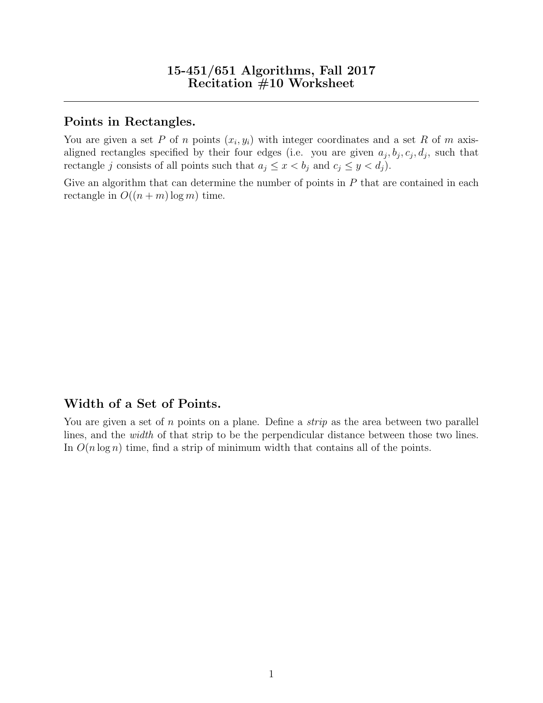## Points in Rectangles.

You are given a set P of n points  $(x_i, y_i)$  with integer coordinates and a set R of m axisaligned rectangles specified by their four edges (i.e. you are given  $a_j, b_j, c_j, d_j$ , such that rectangle j consists of all points such that  $a_j \leq x < b_j$  and  $c_j \leq y < d_j$ .

Give an algorithm that can determine the number of points in  $P$  that are contained in each rectangle in  $O((n+m)\log m)$  time.

## Width of a Set of Points.

You are given a set of n points on a plane. Define a *strip* as the area between two parallel lines, and the width of that strip to be the perpendicular distance between those two lines. In  $O(n \log n)$  time, find a strip of minimum width that contains all of the points.